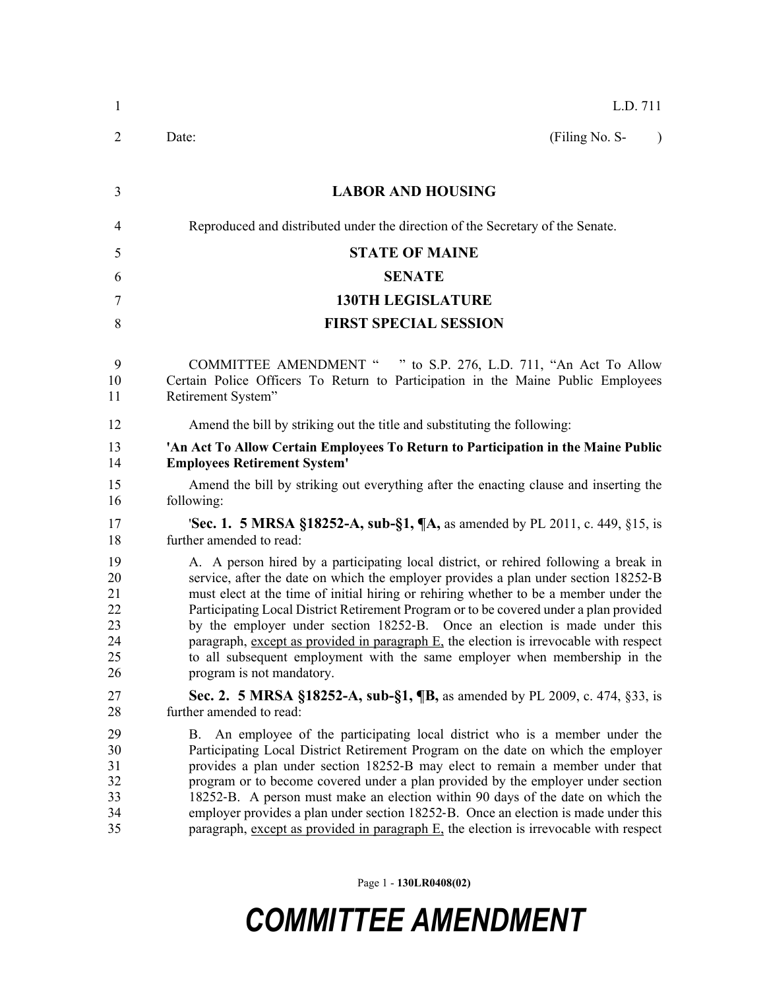| $\mathbf{1}$                                 | L.D. 711                                                                                                                                                                                                                                                                                                                                                                                                                                                                                                                                                                                                                                          |
|----------------------------------------------|---------------------------------------------------------------------------------------------------------------------------------------------------------------------------------------------------------------------------------------------------------------------------------------------------------------------------------------------------------------------------------------------------------------------------------------------------------------------------------------------------------------------------------------------------------------------------------------------------------------------------------------------------|
| 2                                            | (Filing No. S-<br>Date:<br>$\lambda$                                                                                                                                                                                                                                                                                                                                                                                                                                                                                                                                                                                                              |
| 3                                            | <b>LABOR AND HOUSING</b>                                                                                                                                                                                                                                                                                                                                                                                                                                                                                                                                                                                                                          |
| 4                                            | Reproduced and distributed under the direction of the Secretary of the Senate.                                                                                                                                                                                                                                                                                                                                                                                                                                                                                                                                                                    |
| 5                                            | <b>STATE OF MAINE</b>                                                                                                                                                                                                                                                                                                                                                                                                                                                                                                                                                                                                                             |
| 6                                            | <b>SENATE</b>                                                                                                                                                                                                                                                                                                                                                                                                                                                                                                                                                                                                                                     |
| 7                                            | <b>130TH LEGISLATURE</b>                                                                                                                                                                                                                                                                                                                                                                                                                                                                                                                                                                                                                          |
| 8                                            | <b>FIRST SPECIAL SESSION</b>                                                                                                                                                                                                                                                                                                                                                                                                                                                                                                                                                                                                                      |
| 9<br>10<br>11                                | COMMITTEE AMENDMENT " " to S.P. 276, L.D. 711, "An Act To Allow<br>Certain Police Officers To Return to Participation in the Maine Public Employees<br>Retirement System"                                                                                                                                                                                                                                                                                                                                                                                                                                                                         |
| 12                                           | Amend the bill by striking out the title and substituting the following:                                                                                                                                                                                                                                                                                                                                                                                                                                                                                                                                                                          |
| 13<br>14                                     | 'An Act To Allow Certain Employees To Return to Participation in the Maine Public<br><b>Employees Retirement System'</b>                                                                                                                                                                                                                                                                                                                                                                                                                                                                                                                          |
| 15<br>16                                     | Amend the bill by striking out everything after the enacting clause and inserting the<br>following:                                                                                                                                                                                                                                                                                                                                                                                                                                                                                                                                               |
| 17<br>18                                     | <b>Sec. 1. 5 MRSA §18252-A, sub-§1, <math>\mathbb{I}</math>A</b> , as amended by PL 2011, c. 449, §15, is<br>further amended to read:                                                                                                                                                                                                                                                                                                                                                                                                                                                                                                             |
| 19<br>20<br>21<br>22<br>23<br>24<br>25<br>26 | A. A person hired by a participating local district, or rehired following a break in<br>service, after the date on which the employer provides a plan under section 18252-B<br>must elect at the time of initial hiring or rehiring whether to be a member under the<br>Participating Local District Retirement Program or to be covered under a plan provided<br>by the employer under section 18252-B. Once an election is made under this<br>paragraph, except as provided in paragraph E, the election is irrevocable with respect<br>to all subsequent employment with the same employer when membership in the<br>program is not mandatory. |
| 27<br>28                                     | Sec. 2. 5 MRSA §18252-A, sub-§1, ¶B, as amended by PL 2009, c. 474, §33, is<br>further amended to read:                                                                                                                                                                                                                                                                                                                                                                                                                                                                                                                                           |
| 29<br>30<br>31<br>32<br>33<br>34<br>35       | An employee of the participating local district who is a member under the<br>Β.<br>Participating Local District Retirement Program on the date on which the employer<br>provides a plan under section 18252-B may elect to remain a member under that<br>program or to become covered under a plan provided by the employer under section<br>18252-B. A person must make an election within 90 days of the date on which the<br>employer provides a plan under section 18252-B. Once an election is made under this<br>paragraph, except as provided in paragraph $E$ , the election is irrevocable with respect                                  |

Page 1 - **130LR0408(02)**

## *COMMITTEE AMENDMENT*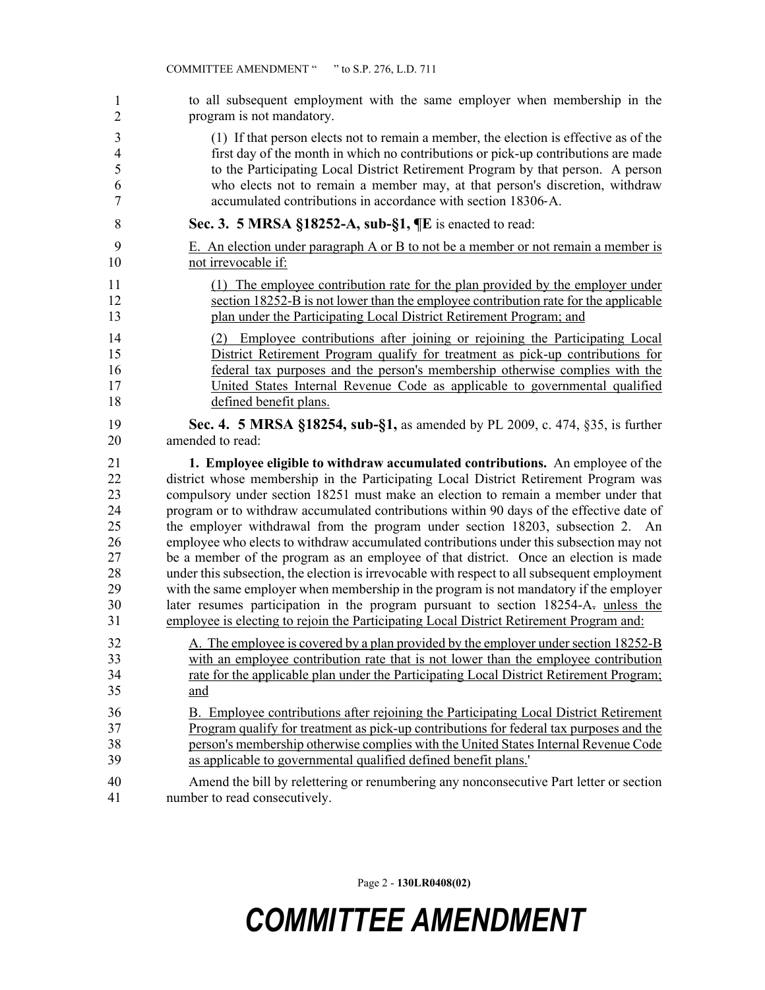| 1              | to all subsequent employment with the same employer when membership in the                   |
|----------------|----------------------------------------------------------------------------------------------|
| $\overline{2}$ | program is not mandatory.                                                                    |
| 3              | (1) If that person elects not to remain a member, the election is effective as of the        |
| $\overline{4}$ | first day of the month in which no contributions or pick-up contributions are made           |
| 5              | to the Participating Local District Retirement Program by that person. A person              |
| 6              | who elects not to remain a member may, at that person's discretion, withdraw                 |
| $\tau$         | accumulated contributions in accordance with section 18306-A.                                |
| 8              | Sec. 3. 5 MRSA §18252-A, sub-§1, ¶E is enacted to read:                                      |
| 9              | E. An election under paragraph A or B to not be a member or not remain a member is           |
| 10             | not irrevocable if:                                                                          |
| 11             | (1) The employee contribution rate for the plan provided by the employer under               |
| 12             | section 18252-B is not lower than the employee contribution rate for the applicable          |
| 13             | plan under the Participating Local District Retirement Program; and                          |
| 14             | (2) Employee contributions after joining or rejoining the Participating Local                |
| 15             | District Retirement Program qualify for treatment as pick-up contributions for               |
| 16             | federal tax purposes and the person's membership otherwise complies with the                 |
| 17             | United States Internal Revenue Code as applicable to governmental qualified                  |
| 18             | defined benefit plans.                                                                       |
| 19             | <b>Sec. 4. 5 MRSA §18254, sub-§1, as amended by PL 2009, c. 474, §35, is further</b>         |
| 20             | amended to read:                                                                             |
| 21             | 1. Employee eligible to withdraw accumulated contributions. An employee of the               |
| 22             | district whose membership in the Participating Local District Retirement Program was         |
| 23             | compulsory under section 18251 must make an election to remain a member under that           |
| 24             | program or to withdraw accumulated contributions within 90 days of the effective date of     |
| 25             | the employer withdrawal from the program under section 18203, subsection 2. An               |
| 26             | employee who elects to withdraw accumulated contributions under this subsection may not      |
| 27             | be a member of the program as an employee of that district. Once an election is made         |
| 28             | under this subsection, the election is irrevocable with respect to all subsequent employment |
| 29             | with the same employer when membership in the program is not mandatory if the employer       |
| 30             | later resumes participation in the program pursuant to section 18254-A- unless the           |
| 31             | employee is electing to rejoin the Participating Local District Retirement Program and:      |
| 32             | A. The employee is covered by a plan provided by the employer under section 18252-B          |
| 33             | with an employee contribution rate that is not lower than the employee contribution          |
| 34             | rate for the applicable plan under the Participating Local District Retirement Program;      |
| 35             | and                                                                                          |
| 36             | B. Employee contributions after rejoining the Participating Local District Retirement        |
| 37             | Program qualify for treatment as pick-up contributions for federal tax purposes and the      |
| 38             | person's membership otherwise complies with the United States Internal Revenue Code          |
| 39             | as applicable to governmental qualified defined benefit plans.                               |
| 40             | Amend the bill by relettering or renumbering any nonconsecutive Part letter or section       |
| 41             | number to read consecutively.                                                                |

Page 2 - **130LR0408(02)**

## *COMMITTEE AMENDMENT*